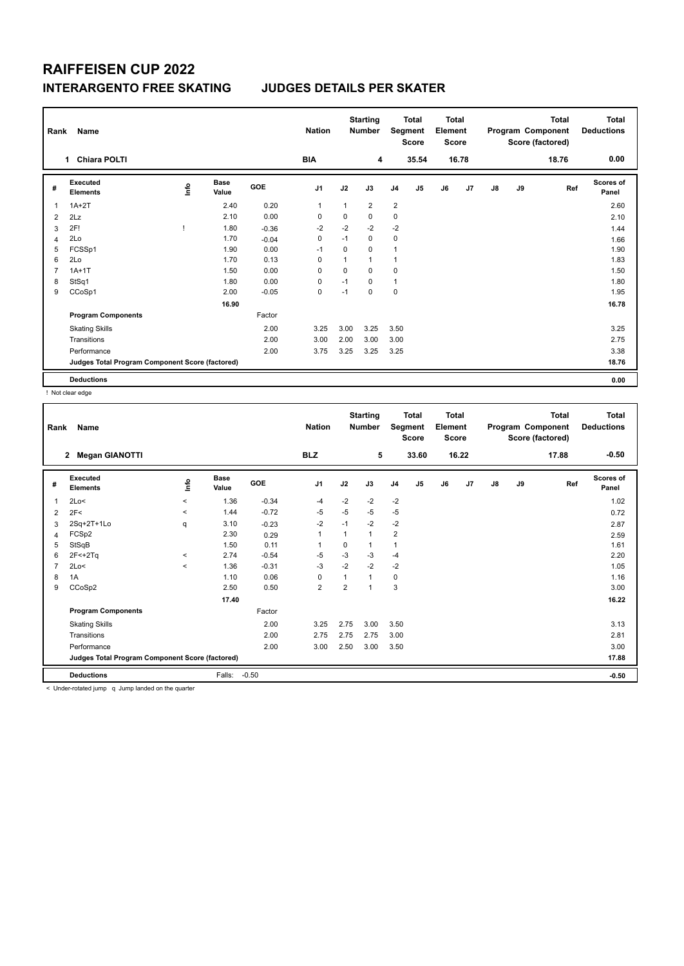### **RAIFFEISEN CUP 2022 INTERARGENTO FREE SKATING JUDGES DETAILS PER SKATER**

| Rank           | Name                                            |             |                      |            | <b>Nation</b>  | <b>Starting</b><br><b>Number</b> |                |                | <b>Total</b><br>Segment<br><b>Score</b> |    | <b>Total</b><br>Element<br><b>Score</b> |               |    | <b>Total</b><br>Program Component<br>Score (factored) | <b>Total</b><br><b>Deductions</b> |
|----------------|-------------------------------------------------|-------------|----------------------|------------|----------------|----------------------------------|----------------|----------------|-----------------------------------------|----|-----------------------------------------|---------------|----|-------------------------------------------------------|-----------------------------------|
|                | <b>Chiara POLTI</b><br>1                        |             |                      |            | <b>BIA</b>     |                                  | 4              |                | 35.54                                   |    | 16.78                                   |               |    | 18.76                                                 | 0.00                              |
| #              | Executed<br><b>Elements</b>                     | <u>info</u> | <b>Base</b><br>Value | <b>GOE</b> | J <sub>1</sub> | J2                               | J3             | J <sub>4</sub> | J <sub>5</sub>                          | J6 | J <sub>7</sub>                          | $\mathsf{J}8$ | J9 | Ref                                                   | <b>Scores of</b><br>Panel         |
| 1              | $1A+2T$                                         |             | 2.40                 | 0.20       | 1              | 1                                | $\overline{2}$ | $\overline{2}$ |                                         |    |                                         |               |    |                                                       | 2.60                              |
| 2              | 2Lz                                             |             | 2.10                 | 0.00       | 0              | 0                                | 0              | $\mathbf 0$    |                                         |    |                                         |               |    |                                                       | 2.10                              |
| 3              | 2F!                                             |             | 1.80                 | $-0.36$    | $-2$           | $-2$                             | $-2$           | $-2$           |                                         |    |                                         |               |    |                                                       | 1.44                              |
| $\overline{4}$ | 2Lo                                             |             | 1.70                 | $-0.04$    | $\mathbf 0$    | $-1$                             | 0              | $\mathbf 0$    |                                         |    |                                         |               |    |                                                       | 1.66                              |
| 5              | FCSSp1                                          |             | 1.90                 | 0.00       | $-1$           | $\Omega$                         | 0              | $\overline{1}$ |                                         |    |                                         |               |    |                                                       | 1.90                              |
| 6              | 2Lo                                             |             | 1.70                 | 0.13       | 0              | 1                                | 1              | $\overline{1}$ |                                         |    |                                         |               |    |                                                       | 1.83                              |
| $\overline{7}$ | $1A+1T$                                         |             | 1.50                 | 0.00       | $\mathbf 0$    | $\mathbf 0$                      | 0              | $\mathbf 0$    |                                         |    |                                         |               |    |                                                       | 1.50                              |
| 8              | StSq1                                           |             | 1.80                 | 0.00       | $\mathbf 0$    | $-1$                             | $\Omega$       | $\mathbf{1}$   |                                         |    |                                         |               |    |                                                       | 1.80                              |
| 9              | CCoSp1                                          |             | 2.00                 | $-0.05$    | $\pmb{0}$      | $-1$                             | 0              | $\mathbf 0$    |                                         |    |                                         |               |    |                                                       | 1.95                              |
|                |                                                 |             | 16.90                |            |                |                                  |                |                |                                         |    |                                         |               |    |                                                       | 16.78                             |
|                | <b>Program Components</b>                       |             |                      | Factor     |                |                                  |                |                |                                         |    |                                         |               |    |                                                       |                                   |
|                | <b>Skating Skills</b>                           |             |                      | 2.00       | 3.25           | 3.00                             | 3.25           | 3.50           |                                         |    |                                         |               |    |                                                       | 3.25                              |
|                | Transitions                                     |             |                      | 2.00       | 3.00           | 2.00                             | 3.00           | 3.00           |                                         |    |                                         |               |    |                                                       | 2.75                              |
|                | Performance                                     |             |                      | 2.00       | 3.75           | 3.25                             | 3.25           | 3.25           |                                         |    |                                         |               |    |                                                       | 3.38                              |
|                | Judges Total Program Component Score (factored) |             |                      |            |                |                                  |                |                |                                         |    |                                         |               |    |                                                       | 18.76                             |
|                | <b>Deductions</b>                               |             |                      |            |                |                                  |                |                |                                         |    |                                         |               |    |                                                       | 0.00                              |

! Not clear edge

| Name<br>Rank                                                     |         | <b>Starting</b><br><b>Nation</b><br><b>Number</b> |      | <b>Total</b><br>Segment<br><b>Score</b> |                | <b>Total</b><br>Element<br><b>Score</b> |       | <b>Total</b><br>Program Component<br>Score (factored) |               |    | <b>Total</b><br><b>Deductions</b> |                           |
|------------------------------------------------------------------|---------|---------------------------------------------------|------|-----------------------------------------|----------------|-----------------------------------------|-------|-------------------------------------------------------|---------------|----|-----------------------------------|---------------------------|
| <b>Megan GIANOTTI</b><br>$\mathbf{2}$                            |         | <b>BLZ</b>                                        |      | 5                                       |                | 33.60                                   | 16.22 |                                                       |               |    | 17.88                             | $-0.50$                   |
| Executed<br><b>Base</b><br>lnfo<br>#<br><b>Elements</b><br>Value | GOE     | J <sub>1</sub>                                    | J2   | J3                                      | J <sub>4</sub> | J5                                      | J6    | J7                                                    | $\mathsf{J}8$ | J9 | Ref                               | <b>Scores of</b><br>Panel |
| 2Lo<<br>1.36<br>1<br>$\hat{}$                                    | $-0.34$ | $-4$                                              | $-2$ | $-2$                                    | $-2$           |                                         |       |                                                       |               |    |                                   | 1.02                      |
| 1.44<br>$\checkmark$<br>2F<<br>2                                 | $-0.72$ | $-5$                                              | $-5$ | $-5$                                    | $-5$           |                                         |       |                                                       |               |    |                                   | 0.72                      |
| 2Sq+2T+1Lo<br>3.10<br>q<br>3                                     | $-0.23$ | $-2$                                              | $-1$ | $-2$                                    | $-2$           |                                         |       |                                                       |               |    |                                   | 2.87                      |
| FCSp2<br>2.30<br>4                                               | 0.29    | $\mathbf{1}$                                      | 1    | 1                                       | $\overline{2}$ |                                         |       |                                                       |               |    |                                   | 2.59                      |
| StSqB<br>1.50<br>5                                               | 0.11    | 1                                                 | 0    | 1                                       | $\overline{1}$ |                                         |       |                                                       |               |    |                                   | 1.61                      |
| 2.74<br>$2F < +2Tq$<br>6<br>$\hat{\phantom{a}}$                  | $-0.54$ | $-5$                                              | $-3$ | $-3$                                    | $-4$           |                                         |       |                                                       |               |    |                                   | 2.20                      |
| 2Lo<<br>1.36<br>$\overline{7}$<br>$\prec$                        | $-0.31$ | $-3$                                              | $-2$ | $-2$                                    | $-2$           |                                         |       |                                                       |               |    |                                   | 1.05                      |
| 1.10<br>1A<br>8                                                  | 0.06    | 0                                                 | 1    | $\mathbf{1}$                            | 0              |                                         |       |                                                       |               |    |                                   | 1.16                      |
| CCoSp2<br>2.50<br>9                                              | 0.50    | $\overline{2}$                                    | 2    | 1                                       | 3              |                                         |       |                                                       |               |    |                                   | 3.00                      |
| 17.40                                                            |         |                                                   |      |                                         |                |                                         |       |                                                       |               |    |                                   | 16.22                     |
| <b>Program Components</b>                                        | Factor  |                                                   |      |                                         |                |                                         |       |                                                       |               |    |                                   |                           |
| <b>Skating Skills</b>                                            | 2.00    | 3.25                                              | 2.75 | 3.00                                    | 3.50           |                                         |       |                                                       |               |    |                                   | 3.13                      |
| Transitions                                                      | 2.00    | 2.75                                              | 2.75 | 2.75                                    | 3.00           |                                         |       |                                                       |               |    |                                   | 2.81                      |
| Performance                                                      | 2.00    | 3.00                                              | 2.50 | 3.00                                    | 3.50           |                                         |       |                                                       |               |    |                                   | 3.00                      |
| Judges Total Program Component Score (factored)                  |         |                                                   |      |                                         |                |                                         |       |                                                       |               |    |                                   | 17.88                     |
| Falls:<br>$-0.50$<br><b>Deductions</b>                           |         |                                                   |      |                                         |                |                                         |       |                                                       |               |    |                                   | $-0.50$                   |

< Under-rotated jump q Jump landed on the quarter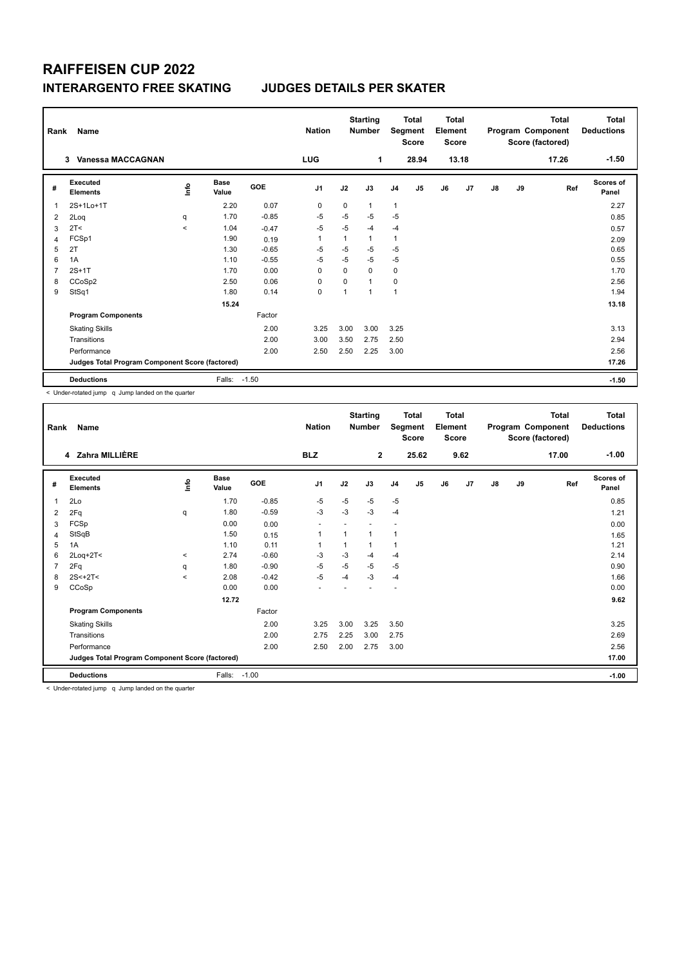# **RAIFFEISEN CUP 2022 INTERARGENTO FREE SKATING JUDGES DETAILS PER SKATER**

| Rank         | Name                                            |         |                      |         | <b>Nation</b>  |             | <b>Starting</b><br><b>Number</b> |                | <b>Total</b><br>Segment<br>Score | <b>Total</b><br>Element<br><b>Score</b> |       |               |    | <b>Total</b><br>Program Component<br>Score (factored) | <b>Total</b><br><b>Deductions</b> |
|--------------|-------------------------------------------------|---------|----------------------|---------|----------------|-------------|----------------------------------|----------------|----------------------------------|-----------------------------------------|-------|---------------|----|-------------------------------------------------------|-----------------------------------|
|              | Vanessa MACCAGNAN<br>3                          |         |                      |         | <b>LUG</b>     |             | 1                                |                | 28.94                            |                                         | 13.18 |               |    | 17.26                                                 | $-1.50$                           |
| #            | Executed<br><b>Elements</b>                     | Info    | <b>Base</b><br>Value | GOE     | J <sub>1</sub> | J2          | J3                               | J <sub>4</sub> | J <sub>5</sub>                   | J6                                      | J7    | $\mathsf{J}8$ | J9 | Ref                                                   | Scores of<br>Panel                |
| $\mathbf{1}$ | 2S+1Lo+1T                                       |         | 2.20                 | 0.07    | $\mathbf 0$    | 0           | $\mathbf{1}$                     | $\overline{1}$ |                                  |                                         |       |               |    |                                                       | 2.27                              |
| 2            | 2Loq                                            | q       | 1.70                 | $-0.85$ | -5             | $-5$        | $-5$                             | $-5$           |                                  |                                         |       |               |    |                                                       | 0.85                              |
| 3            | 2T <                                            | $\prec$ | 1.04                 | $-0.47$ | $-5$           | $-5$        | $-4$                             | $-4$           |                                  |                                         |       |               |    |                                                       | 0.57                              |
| 4            | FCSp1                                           |         | 1.90                 | 0.19    | $\mathbf{1}$   |             | 1                                | $\overline{1}$ |                                  |                                         |       |               |    |                                                       | 2.09                              |
| 5            | 2T                                              |         | 1.30                 | $-0.65$ | $-5$           | $-5$        | $-5$                             | $-5$           |                                  |                                         |       |               |    |                                                       | 0.65                              |
| 6            | 1A                                              |         | 1.10                 | $-0.55$ | $-5$           | $-5$        | $-5$                             | $-5$           |                                  |                                         |       |               |    |                                                       | 0.55                              |
| 7            | $2S+1T$                                         |         | 1.70                 | 0.00    | $\mathbf 0$    | $\mathbf 0$ | 0                                | $\mathbf 0$    |                                  |                                         |       |               |    |                                                       | 1.70                              |
| 8            | CCoSp2                                          |         | 2.50                 | 0.06    | $\mathbf 0$    | $\Omega$    | 1                                | $\mathbf 0$    |                                  |                                         |       |               |    |                                                       | 2.56                              |
| 9            | StSq1                                           |         | 1.80                 | 0.14    | 0              | 1           | $\mathbf{1}$                     | $\mathbf{1}$   |                                  |                                         |       |               |    |                                                       | 1.94                              |
|              |                                                 |         | 15.24                |         |                |             |                                  |                |                                  |                                         |       |               |    |                                                       | 13.18                             |
|              | <b>Program Components</b>                       |         |                      | Factor  |                |             |                                  |                |                                  |                                         |       |               |    |                                                       |                                   |
|              | <b>Skating Skills</b>                           |         |                      | 2.00    | 3.25           | 3.00        | 3.00                             | 3.25           |                                  |                                         |       |               |    |                                                       | 3.13                              |
|              | Transitions                                     |         |                      | 2.00    | 3.00           | 3.50        | 2.75                             | 2.50           |                                  |                                         |       |               |    |                                                       | 2.94                              |
|              | Performance                                     |         |                      | 2.00    | 2.50           | 2.50        | 2.25                             | 3.00           |                                  |                                         |       |               |    |                                                       | 2.56                              |
|              | Judges Total Program Component Score (factored) |         |                      |         |                |             |                                  |                |                                  |                                         |       |               |    |                                                       | 17.26                             |
|              | <b>Deductions</b>                               |         | Falls: -1.50         |         |                |             |                                  |                |                                  |                                         |       |               |    |                                                       | $-1.50$                           |

< Under-rotated jump q Jump landed on the quarter

|                | Name<br>Rank                                    |          |                      |         |                          | <b>Starting</b><br><b>Nation</b><br><b>Number</b> |              |                         | <b>Total</b><br>Segment<br><b>Score</b> |    | <b>Total</b><br>Element<br><b>Score</b> |               | Program Component<br>Score (factored) | <b>Total</b><br><b>Deductions</b> |                           |
|----------------|-------------------------------------------------|----------|----------------------|---------|--------------------------|---------------------------------------------------|--------------|-------------------------|-----------------------------------------|----|-----------------------------------------|---------------|---------------------------------------|-----------------------------------|---------------------------|
|                | 4 Zahra MILLIÈRE                                |          |                      |         | <b>BLZ</b>               |                                                   | $\mathbf{2}$ |                         | 25.62                                   |    | 9.62                                    |               |                                       | 17.00                             | $-1.00$                   |
| #              | Executed<br><b>Elements</b>                     | lnfo     | <b>Base</b><br>Value | GOE     | J <sub>1</sub>           | J2                                                | J3           | J <sub>4</sub>          | J5                                      | J6 | J7                                      | $\mathsf{J}8$ | J9                                    | Ref                               | <b>Scores of</b><br>Panel |
| 1              | 2Lo                                             |          | 1.70                 | $-0.85$ | -5                       | $-5$                                              | $-5$         | -5                      |                                         |    |                                         |               |                                       |                                   | 0.85                      |
| 2              | 2Fq                                             | q        | 1.80                 | $-0.59$ | $-3$                     | $-3$                                              | $-3$         | $-4$                    |                                         |    |                                         |               |                                       |                                   | 1.21                      |
| 3              | FCSp                                            |          | 0.00                 | 0.00    | $\blacksquare$           |                                                   |              |                         |                                         |    |                                         |               |                                       |                                   | 0.00                      |
| 4              | StSqB                                           |          | 1.50                 | 0.15    | 1                        | 1                                                 | 1            | $\overline{\mathbf{1}}$ |                                         |    |                                         |               |                                       |                                   | 1.65                      |
| 5              | 1A                                              |          | 1.10                 | 0.11    | $\mathbf{1}$             | 1                                                 | $\mathbf{1}$ | $\overline{1}$          |                                         |    |                                         |               |                                       |                                   | 1.21                      |
| 6              | $2$ Loq+ $2$ T<                                 | $\hat{}$ | 2.74                 | $-0.60$ | $-3$                     | $-3$                                              | $-4$         | $-4$                    |                                         |    |                                         |               |                                       |                                   | 2.14                      |
| $\overline{7}$ | 2Fq                                             | q        | 1.80                 | $-0.90$ | $-5$                     | $-5$                                              | $-5$         | $-5$                    |                                         |    |                                         |               |                                       |                                   | 0.90                      |
| 8              | $2S < +2T <$                                    | $\prec$  | 2.08                 | $-0.42$ | $-5$                     | -4                                                | $-3$         | $-4$                    |                                         |    |                                         |               |                                       |                                   | 1.66                      |
| 9              | CCoSp                                           |          | 0.00                 | 0.00    | $\overline{\phantom{a}}$ |                                                   |              |                         |                                         |    |                                         |               |                                       |                                   | 0.00                      |
|                |                                                 |          | 12.72                |         |                          |                                                   |              |                         |                                         |    |                                         |               |                                       |                                   | 9.62                      |
|                | <b>Program Components</b>                       |          |                      | Factor  |                          |                                                   |              |                         |                                         |    |                                         |               |                                       |                                   |                           |
|                | <b>Skating Skills</b>                           |          |                      | 2.00    | 3.25                     | 3.00                                              | 3.25         | 3.50                    |                                         |    |                                         |               |                                       |                                   | 3.25                      |
|                | Transitions                                     |          |                      | 2.00    | 2.75                     | 2.25                                              | 3.00         | 2.75                    |                                         |    |                                         |               |                                       |                                   | 2.69                      |
|                | Performance                                     |          |                      | 2.00    | 2.50                     | 2.00                                              | 2.75         | 3.00                    |                                         |    |                                         |               |                                       |                                   | 2.56                      |
|                | Judges Total Program Component Score (factored) |          |                      |         |                          |                                                   |              |                         |                                         |    |                                         |               |                                       |                                   | 17.00                     |
|                | <b>Deductions</b>                               |          | Falls:               | $-1.00$ |                          |                                                   |              |                         |                                         |    |                                         |               |                                       |                                   | $-1.00$                   |

< Under-rotated jump q Jump landed on the quarter